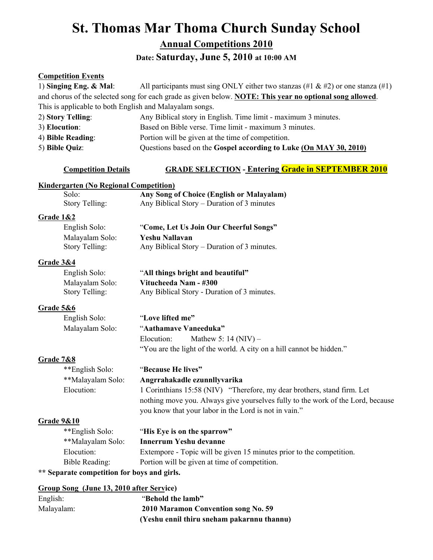# **St. Thomas Mar Thoma Church Sunday School**

**Annual Competitions 2010**

**Date: Saturday, June 5, 2010 at 10:00 AM** 

### **Competition Events**

| 1) Singing Eng. $\&$ Mal:                               | All participants must sing ONLY either two stanzas (#1 & #2) or one stanza (#1)                          |  |
|---------------------------------------------------------|----------------------------------------------------------------------------------------------------------|--|
|                                                         | and chorus of the selected song for each grade as given below. NOTE: This year no optional song allowed. |  |
| This is applicable to both English and Malayalam songs. |                                                                                                          |  |
| 2) Story Telling:                                       | Any Biblical story in English. Time limit - maximum 3 minutes.                                           |  |
| 3) Elocution:                                           | Based on Bible verse. Time limit - maximum 3 minutes.                                                    |  |
| 4) Bible Reading:                                       | Portion will be given at the time of competition.                                                        |  |
| 5) Bible Quiz:                                          | Questions based on the Gospel according to Luke (On MAY 30, 2010)                                        |  |
| <b>Competition Details</b>                              | <b>GRADE SELECTION - Entering Grade in SEPTEMBER 2010</b>                                                |  |
| <b>Kindergarten (No Regional Competition)</b>           |                                                                                                          |  |
| Solo:                                                   | Any Song of Choice (English or Malayalam)                                                                |  |
| Story Telling:                                          | Any Biblical Story - Duration of 3 minutes                                                               |  |
| <b>Grade 1&amp;2</b>                                    |                                                                                                          |  |
| English Solo:                                           | "Come, Let Us Join Our Cheerful Songs"                                                                   |  |
| Malayalam Solo:                                         | <b>Yeshu Nallavan</b>                                                                                    |  |
| Story Telling:                                          | Any Biblical Story – Duration of 3 minutes.                                                              |  |
| Grade 3&4                                               |                                                                                                          |  |
| English Solo:                                           | "All things bright and beautiful"                                                                        |  |
| Malayalam Solo:                                         | Vitucheeda Nam - #300                                                                                    |  |
| Story Telling:                                          | Any Biblical Story - Duration of 3 minutes.                                                              |  |
| Grade 5&6                                               |                                                                                                          |  |
| English Solo:                                           | "Love lifted me"                                                                                         |  |
| Malayalam Solo:                                         | "Aathamave Vaneeduka"                                                                                    |  |
|                                                         | Elocution:<br>Mathew 5: $14 (NIV)$ –                                                                     |  |
|                                                         | "You are the light of the world. A city on a hill cannot be hidden."                                     |  |
| <b>Grade 7&amp;8</b>                                    |                                                                                                          |  |
| **English Solo:                                         | "Because He lives"                                                                                       |  |
| **Malayalam Solo:                                       | Angrrahakadle ezunnllyvarika                                                                             |  |
| Elocution:                                              | 1 Corinthians 15:58 (NIV) "Therefore, my dear brothers, stand firm. Let                                  |  |
|                                                         | nothing move you. Always give yourselves fully to the work of the Lord, because                          |  |
|                                                         | you know that your labor in the Lord is not in vain."                                                    |  |
| Grade 9&10                                              |                                                                                                          |  |
| **English Solo:                                         | "His Eye is on the sparrow"                                                                              |  |
| **Malayalam Solo:                                       | <b>Innerrum Yeshu devanne</b>                                                                            |  |
| Elocution:                                              | Extempore - Topic will be given 15 minutes prior to the competition.                                     |  |
| <b>Bible Reading:</b>                                   | Portion will be given at time of competition.                                                            |  |
| ** Separate competition for boys and girls.             |                                                                                                          |  |
| Group Song (June 13, 2010 after Service)                |                                                                                                          |  |
| English:                                                | "Behold the lamb"                                                                                        |  |
| Malayalam:                                              | 2010 Maramon Convention song No. 59                                                                      |  |

**(Yeshu ennil thiru sneham pakarnnu thannu)**